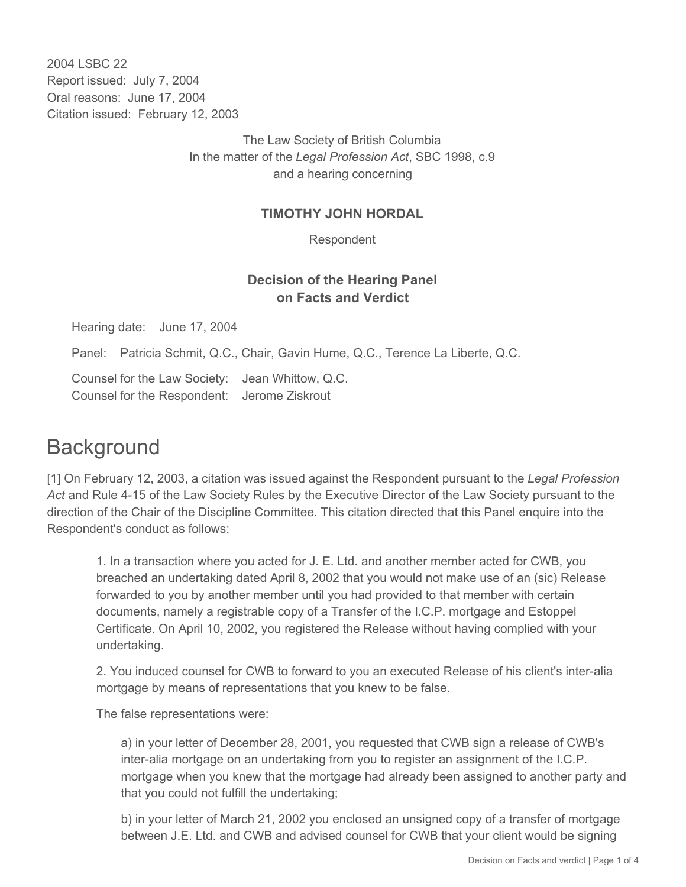2004 LSBC 22 Report issued: July 7, 2004 Oral reasons: June 17, 2004 Citation issued: February 12, 2003

> The Law Society of British Columbia In the matter of the *Legal Profession Act*, SBC 1998, c.9 and a hearing concerning

## **TIMOTHY JOHN HORDAL**

Respondent

## **Decision of the Hearing Panel on Facts and Verdict**

Hearing date: June 17, 2004

Panel: Patricia Schmit, Q.C., Chair, Gavin Hume, Q.C., Terence La Liberte, Q.C.

Counsel for the Law Society: Jean Whittow, Q.C. Counsel for the Respondent: Jerome Ziskrout

## **Background**

[1] On February 12, 2003, a citation was issued against the Respondent pursuant to the *Legal Profession Act* and Rule 4-15 of the Law Society Rules by the Executive Director of the Law Society pursuant to the direction of the Chair of the Discipline Committee. This citation directed that this Panel enquire into the Respondent's conduct as follows:

1. In a transaction where you acted for J. E. Ltd. and another member acted for CWB, you breached an undertaking dated April 8, 2002 that you would not make use of an (sic) Release forwarded to you by another member until you had provided to that member with certain documents, namely a registrable copy of a Transfer of the I.C.P. mortgage and Estoppel Certificate. On April 10, 2002, you registered the Release without having complied with your undertaking.

2. You induced counsel for CWB to forward to you an executed Release of his client's inter-alia mortgage by means of representations that you knew to be false.

The false representations were:

a) in your letter of December 28, 2001, you requested that CWB sign a release of CWB's inter-alia mortgage on an undertaking from you to register an assignment of the I.C.P. mortgage when you knew that the mortgage had already been assigned to another party and that you could not fulfill the undertaking;

b) in your letter of March 21, 2002 you enclosed an unsigned copy of a transfer of mortgage between J.E. Ltd. and CWB and advised counsel for CWB that your client would be signing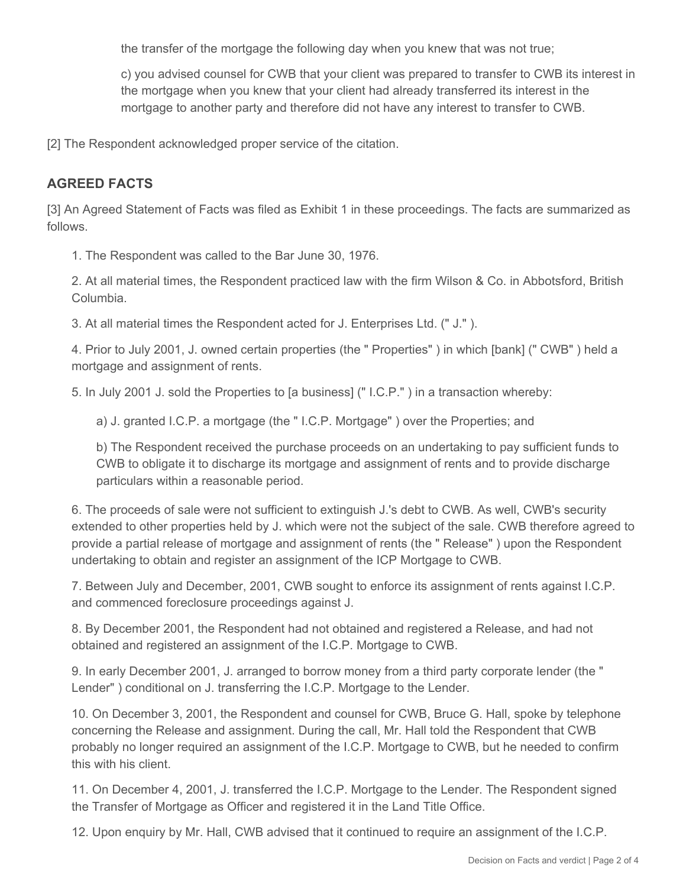the transfer of the mortgage the following day when you knew that was not true;

c) you advised counsel for CWB that your client was prepared to transfer to CWB its interest in the mortgage when you knew that your client had already transferred its interest in the mortgage to another party and therefore did not have any interest to transfer to CWB.

[2] The Respondent acknowledged proper service of the citation.

## **AGREED FACTS**

[3] An Agreed Statement of Facts was filed as Exhibit 1 in these proceedings. The facts are summarized as follows.

1. The Respondent was called to the Bar June 30, 1976.

2. At all material times, the Respondent practiced law with the firm Wilson & Co. in Abbotsford, British Columbia.

3. At all material times the Respondent acted for J. Enterprises Ltd. (" J." ).

4. Prior to July 2001, J. owned certain properties (the " Properties" ) in which [bank] (" CWB" ) held a mortgage and assignment of rents.

5. In July 2001 J. sold the Properties to [a business] (" I.C.P." ) in a transaction whereby:

a) J. granted I.C.P. a mortgage (the " I.C.P. Mortgage" ) over the Properties; and

b) The Respondent received the purchase proceeds on an undertaking to pay sufficient funds to CWB to obligate it to discharge its mortgage and assignment of rents and to provide discharge particulars within a reasonable period.

6. The proceeds of sale were not sufficient to extinguish J.'s debt to CWB. As well, CWB's security extended to other properties held by J. which were not the subject of the sale. CWB therefore agreed to provide a partial release of mortgage and assignment of rents (the " Release" ) upon the Respondent undertaking to obtain and register an assignment of the ICP Mortgage to CWB.

7. Between July and December, 2001, CWB sought to enforce its assignment of rents against I.C.P. and commenced foreclosure proceedings against J.

8. By December 2001, the Respondent had not obtained and registered a Release, and had not obtained and registered an assignment of the I.C.P. Mortgage to CWB.

9. In early December 2001, J. arranged to borrow money from a third party corporate lender (the " Lender" ) conditional on J. transferring the I.C.P. Mortgage to the Lender.

10. On December 3, 2001, the Respondent and counsel for CWB, Bruce G. Hall, spoke by telephone concerning the Release and assignment. During the call, Mr. Hall told the Respondent that CWB probably no longer required an assignment of the I.C.P. Mortgage to CWB, but he needed to confirm this with his client.

11. On December 4, 2001, J. transferred the I.C.P. Mortgage to the Lender. The Respondent signed the Transfer of Mortgage as Officer and registered it in the Land Title Office.

12. Upon enquiry by Mr. Hall, CWB advised that it continued to require an assignment of the I.C.P.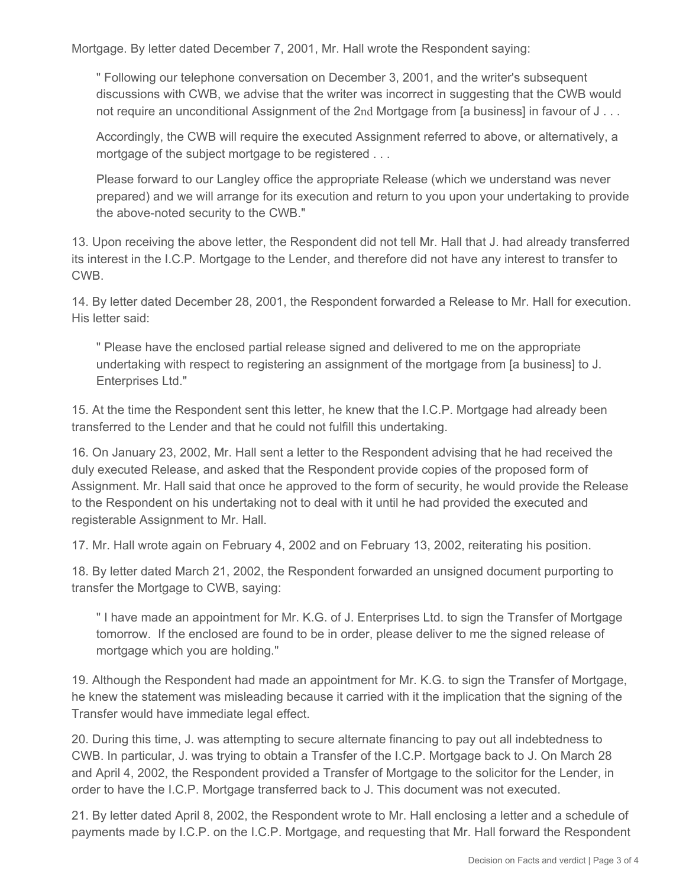Mortgage. By letter dated December 7, 2001, Mr. Hall wrote the Respondent saying:

" Following our telephone conversation on December 3, 2001, and the writer's subsequent discussions with CWB, we advise that the writer was incorrect in suggesting that the CWB would not require an unconditional Assignment of the 2nd Mortgage from [a business] in favour of J...

Accordingly, the CWB will require the executed Assignment referred to above, or alternatively, a mortgage of the subject mortgage to be registered . . .

Please forward to our Langley office the appropriate Release (which we understand was never prepared) and we will arrange for its execution and return to you upon your undertaking to provide the above-noted security to the CWB."

13. Upon receiving the above letter, the Respondent did not tell Mr. Hall that J. had already transferred its interest in the I.C.P. Mortgage to the Lender, and therefore did not have any interest to transfer to **CWB** 

14. By letter dated December 28, 2001, the Respondent forwarded a Release to Mr. Hall for execution. His letter said:

" Please have the enclosed partial release signed and delivered to me on the appropriate undertaking with respect to registering an assignment of the mortgage from [a business] to J. Enterprises Ltd."

15. At the time the Respondent sent this letter, he knew that the I.C.P. Mortgage had already been transferred to the Lender and that he could not fulfill this undertaking.

16. On January 23, 2002, Mr. Hall sent a letter to the Respondent advising that he had received the duly executed Release, and asked that the Respondent provide copies of the proposed form of Assignment. Mr. Hall said that once he approved to the form of security, he would provide the Release to the Respondent on his undertaking not to deal with it until he had provided the executed and registerable Assignment to Mr. Hall.

17. Mr. Hall wrote again on February 4, 2002 and on February 13, 2002, reiterating his position.

18. By letter dated March 21, 2002, the Respondent forwarded an unsigned document purporting to transfer the Mortgage to CWB, saying:

" I have made an appointment for Mr. K.G. of J. Enterprises Ltd. to sign the Transfer of Mortgage tomorrow. If the enclosed are found to be in order, please deliver to me the signed release of mortgage which you are holding."

19. Although the Respondent had made an appointment for Mr. K.G. to sign the Transfer of Mortgage, he knew the statement was misleading because it carried with it the implication that the signing of the Transfer would have immediate legal effect.

20. During this time, J. was attempting to secure alternate financing to pay out all indebtedness to CWB. In particular, J. was trying to obtain a Transfer of the I.C.P. Mortgage back to J. On March 28 and April 4, 2002, the Respondent provided a Transfer of Mortgage to the solicitor for the Lender, in order to have the I.C.P. Mortgage transferred back to J. This document was not executed.

21. By letter dated April 8, 2002, the Respondent wrote to Mr. Hall enclosing a letter and a schedule of payments made by I.C.P. on the I.C.P. Mortgage, and requesting that Mr. Hall forward the Respondent